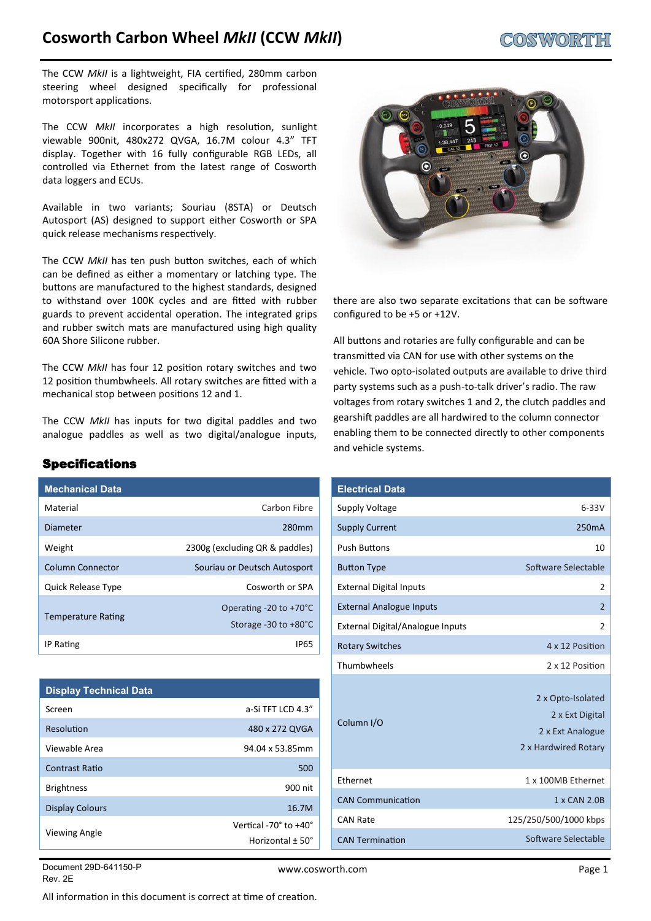# **Cosworth Carbon Wheel** *MkII* **(CCW** *MkII***)**

The CCW MkII is a lightweight, FIA certified, 280mm carbon steering wheel designed specifcally for professional motorsport applications.

The CCW *MkII* incorporates a high resolution, sunlight viewable 900nit, 480x272 QVGA, 16.7M colour 4.3" TFT display. Together with 16 fully confgurable RGB LEDs, all controlled via Ethernet from the latest range of Cosworth data loggers and ECUs.

Available in two variants; Souriau (8STA) or Deutsch Autosport (AS) designed to support either Cosworth or SPA quick release mechanisms respectively.

The CCW *MkII* has ten push button switches, each of which can be defned as either a momentary or latching type. The buttons are manufactured to the highest standards, designed to withstand over 100K cycles and are fitted with rubber guards to prevent accidental operation. The integrated grips and rubber switch mats are manufactured using high quality 60A Shore Silicone rubber.

The CCW *MkII* has four 12 positon rotary switches and two 12 position thumbwheels. All rotary switches are fitted with a mechanical stop between positons 12 and 1.

The CCW *MkII* has inputs for two digital paddles and two analogue paddles as well as two digital/analogue inputs,

# Specifications

| <b>Mechanical Data</b>    |                                                            |
|---------------------------|------------------------------------------------------------|
| Material                  | Carbon Fibre                                               |
| Diameter                  | 280 <sub>mm</sub>                                          |
| Weight                    | 2300g (excluding QR & paddles)                             |
| Column Connector          | Souriau or Deutsch Autosport                               |
| <b>Quick Release Type</b> | Cosworth or SPA                                            |
| <b>Temperature Rating</b> | Operating $-20$ to $+70^{\circ}$ C<br>Storage -30 to +80°C |
| <b>IP Rating</b>          | IP65                                                       |

| <b>Display Technical Data</b> |                                |
|-------------------------------|--------------------------------|
| Screen                        | a-Si TFT LCD 4.3"              |
| Resolution                    | 480 x 272 QVGA                 |
| Viewable Area                 | 94.04 x 53.85mm                |
| Contrast Ratio                | 500                            |
| <b>Brightness</b>             | 900 nit                        |
| <b>Display Colours</b>        | 16.7M                          |
| <b>Viewing Angle</b>          | Vertical -70° to +40°          |
|                               | Horizontal $\pm$ 50 $^{\circ}$ |



there are also two separate excitatons that can be sofware confgured to be +5 or +12V.

All buttons and rotaries are fully configurable and can be transmited via CAN for use with other systems on the vehicle. Two opto-isolated outputs are available to drive third party systems such as a push-to-talk driver's radio. The raw voltages from rotary switches 1 and 2, the clutch paddles and gearshift paddles are all hardwired to the column connector enabling them to be connected directly to other components and vehicle systems.

| <b>Electrical Data</b>           |                                                                                  |
|----------------------------------|----------------------------------------------------------------------------------|
| <b>Supply Voltage</b>            | $6-33V$                                                                          |
| <b>Supply Current</b>            | 250 <sub>m</sub> A                                                               |
| <b>Push Buttons</b>              | 10                                                                               |
| <b>Button Type</b>               | Software Selectable                                                              |
| <b>External Digital Inputs</b>   | 2                                                                                |
| <b>External Analogue Inputs</b>  | $\overline{2}$                                                                   |
| External Digital/Analogue Inputs | 2                                                                                |
| <b>Rotary Switches</b>           | 4 x 12 Position                                                                  |
| Thumbwheels                      | 2 x 12 Position                                                                  |
| Column <sub>I/O</sub>            | 2 x Opto-Isolated<br>2 x Ext Digital<br>2 x Ext Analogue<br>2 x Hardwired Rotary |
| Ethernet                         | 1 x 100MB Ethernet                                                               |
| <b>CAN Communication</b>         | 1 x CAN 2.0B                                                                     |
| <b>CAN Rate</b>                  | 125/250/500/1000 kbps                                                            |
| <b>CAN Termination</b>           | Software Selectable                                                              |

Document 29D-641150-P Rev. 2E

All information in this document is correct at time of creation.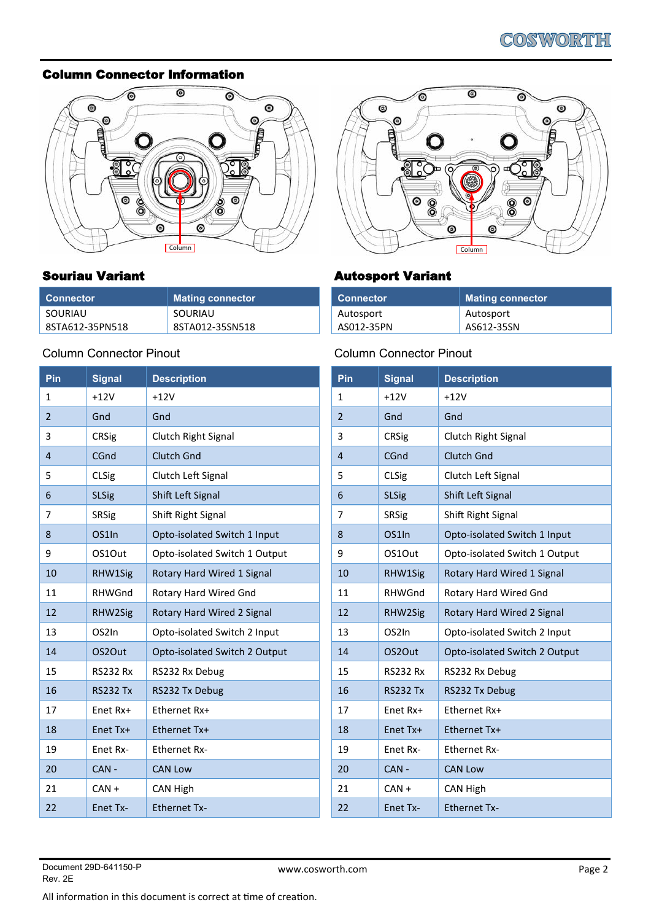### Column Connector Information



# Souriau Variant

| Connector       | Mating connector |
|-----------------|------------------|
| SOURIAU         | SOURIAU          |
| 8STA612-35PN518 | 8STA012-35SN518  |

# Column Connector Pinout

| Pin            | <b>Signal</b>      | <b>Description</b>            |
|----------------|--------------------|-------------------------------|
| 1              | $+12V$             | $+12V$                        |
| $\overline{2}$ | Gnd                | Gnd                           |
| 3              | <b>CRSig</b>       | Clutch Right Signal           |
| 4              | CGnd               | <b>Clutch Gnd</b>             |
| 5              | <b>CLSig</b>       | Clutch Left Signal            |
| 6              | <b>SLSig</b>       | Shift Left Signal             |
| 7              | <b>SRSig</b>       | Shift Right Signal            |
| 8              | OS <sub>1</sub> In | Opto-isolated Switch 1 Input  |
| 9              | OS1Out             | Opto-isolated Switch 1 Output |
| 10             | RHW1Sig            | Rotary Hard Wired 1 Signal    |
| 11             | RHWGnd             | Rotary Hard Wired Gnd         |
| 12             | RHW2Sig            | Rotary Hard Wired 2 Signal    |
| 13             | OS2In              | Opto-isolated Switch 2 Input  |
| 14             | OS2Out             | Opto-isolated Switch 2 Output |
| 15             | <b>RS232 Rx</b>    | RS232 Rx Debug                |
| 16             | <b>RS232 Tx</b>    | RS232 Tx Debug                |
| 17             | Enet Rx+           | Ethernet Rx+                  |
| 18             | Enet Tx+           | Ethernet Tx+                  |
| 19             | Enet Rx-           | <b>Ethernet Rx-</b>           |
| 20             | $CAN -$            | <b>CAN Low</b>                |
| 21             | $CAN +$            | CAN High                      |
| 22             | Enet Tx-           | <b>Ethernet Tx-</b>           |



# Autosport Variant

| ⊦ Connector ˈ | <b>Mating connector</b> |
|---------------|-------------------------|
| Autosport     | Autosport               |
| AS012-35PN    | AS612-35SN              |

# Column Connector Pinout

| Pin            | <b>Signal</b>      | <b>Description</b>                |
|----------------|--------------------|-----------------------------------|
| 1              | $+12V$             | $+12V$                            |
| $\overline{2}$ | Gnd                | Gnd                               |
| 3              | <b>CRSig</b>       | Clutch Right Signal               |
| 4              | CGnd               | <b>Clutch Gnd</b>                 |
| 5              | <b>CLSig</b>       | Clutch Left Signal                |
| 6              | <b>SLSig</b>       | Shift Left Signal                 |
| 7              | SRSig              | Shift Right Signal                |
| 8              | OS <sub>1</sub> In | Opto-isolated Switch 1 Input      |
| 9              | OS1Out             | Opto-isolated Switch 1 Output     |
| 10             | RHW1Sig            | Rotary Hard Wired 1 Signal        |
| 11             | <b>RHWGnd</b>      | Rotary Hard Wired Gnd             |
| 12             | RHW2Sig            | <b>Rotary Hard Wired 2 Signal</b> |
| 13             | OS2In              | Opto-isolated Switch 2 Input      |
| 14             | OS2Out             | Opto-isolated Switch 2 Output     |
| 15             | <b>RS232 Rx</b>    | RS232 Rx Debug                    |
| 16             | <b>RS232 Tx</b>    | RS232 Tx Debug                    |
| 17             | Enet Rx+           | Ethernet Rx+                      |
| 18             | Enet Tx+           | Ethernet Tx+                      |
| 19             | Enet Rx-           | <b>Ethernet Rx-</b>               |
| 20             | CAN-               | <b>CAN Low</b>                    |
| 21             | $CAN +$            | CAN High                          |
| 22             | Enet Tx-           | <b>Ethernet Tx-</b>               |

All information in this document is correct at time of creation.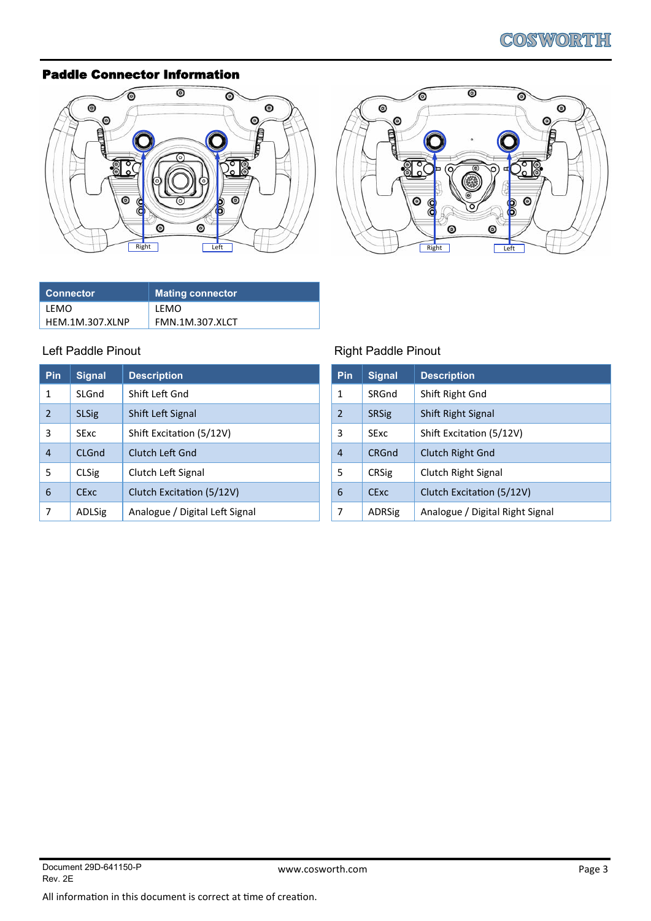### Paddle Connector Information





| Connector       | Mating connector       |
|-----------------|------------------------|
| LFMO            | LFMO                   |
| HEM.1M.307.XLNP | <b>FMN.1M.307.XLCT</b> |

| Pin | <b>Signal</b> | <b>Description</b>             |
|-----|---------------|--------------------------------|
| 1   | SLGnd         | Shift Left Gnd                 |
| 2   | <b>SLSig</b>  | Shift Left Signal              |
| 3   | <b>SExc</b>   | Shift Excitation (5/12V)       |
| 4   | CLGnd         | Clutch Left Gnd                |
| 5   | <b>CLSig</b>  | Clutch Left Signal             |
| 6   | <b>CExc</b>   | Clutch Excitation (5/12V)      |
| 7   | <b>ADLSig</b> | Analogue / Digital Left Signal |

# Left Paddle Pinout **Right Paddle Pinout**

| <b>Pin</b>     | <b>Signal</b> | <b>Description</b>              |
|----------------|---------------|---------------------------------|
| 1              | SRGnd         | Shift Right Gnd                 |
| $\overline{2}$ | <b>SRSig</b>  | Shift Right Signal              |
| 3              | <b>SExc</b>   | Shift Excitation (5/12V)        |
| 4              | CRGnd         | Clutch Right Gnd                |
| 5              | <b>CRSig</b>  | Clutch Right Signal             |
| 6              | <b>CExc</b>   | Clutch Excitation (5/12V)       |
| 7              | <b>ADRSig</b> | Analogue / Digital Right Signal |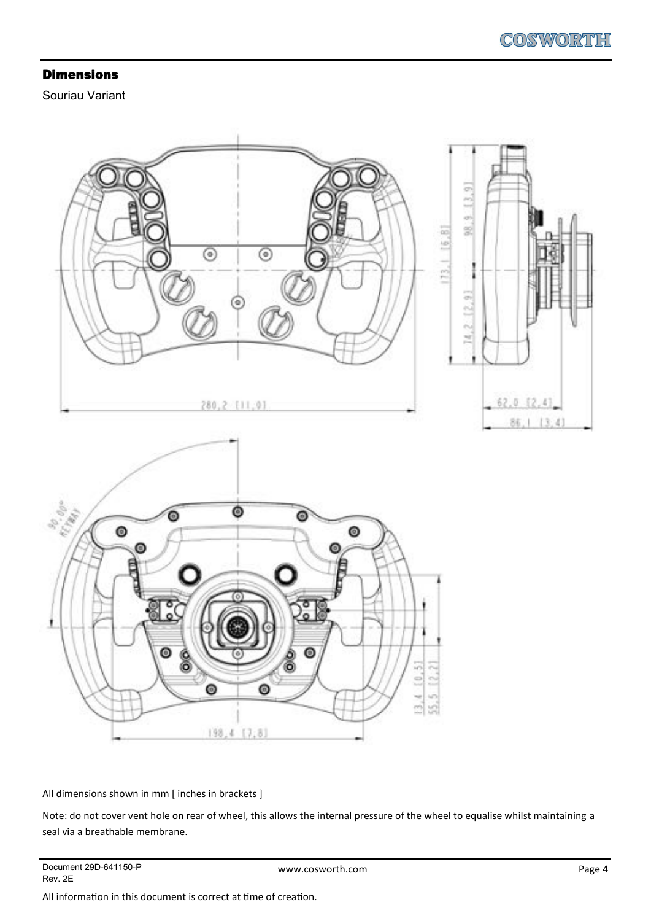#### Dimensions

Souriau Variant



All dimensions shown in mm [ inches in brackets ]

Note: do not cover vent hole on rear of wheel, this allows the internal pressure of the wheel to equalise whilst maintaining a seal via a breathable membrane.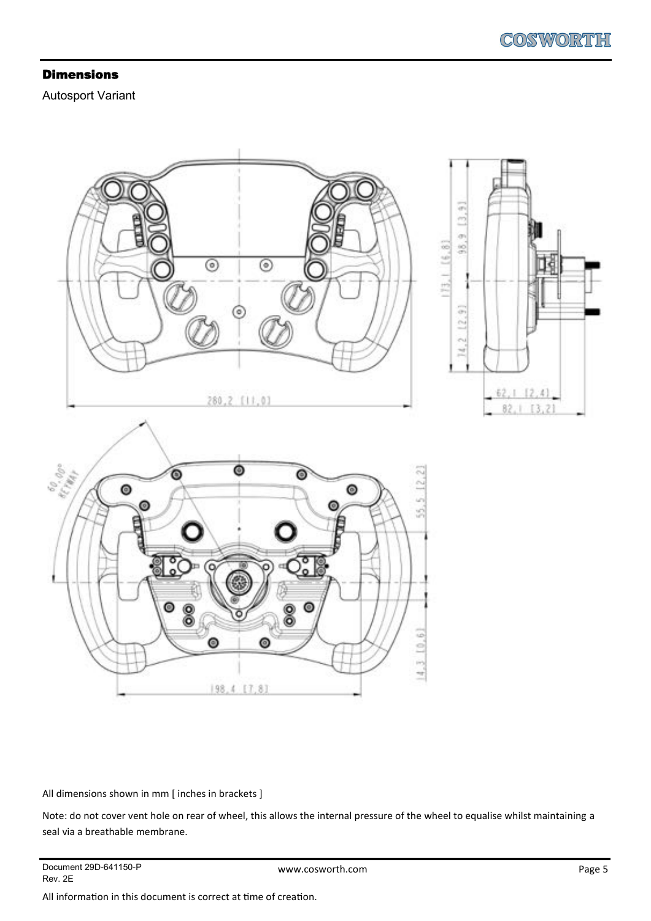#### Dimensions

Autosport Variant



All dimensions shown in mm [ inches in brackets ]

Note: do not cover vent hole on rear of wheel, this allows the internal pressure of the wheel to equalise whilst maintaining a seal via a breathable membrane.